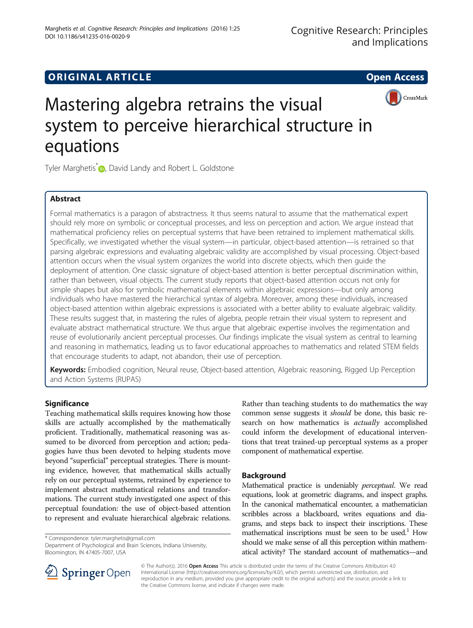## **ORIGINAL ARTICLE CONSERVANCE IN A LOCAL CONSERVANCE IN A LOCAL CONSERVANCE IN A LOCAL CONSERVANCE IN A LOCAL CONS**



# Mastering algebra retrains the visual system to perceive hierarchical structure in equations

Tyler Marghetis<sup>\*</sup><sup>D</sup>, David Landy and Robert L. Goldstone

## Abstract

Formal mathematics is a paragon of abstractness. It thus seems natural to assume that the mathematical expert should rely more on symbolic or conceptual processes, and less on perception and action. We argue instead that mathematical proficiency relies on perceptual systems that have been retrained to implement mathematical skills. Specifically, we investigated whether the visual system—in particular, object-based attention—is retrained so that parsing algebraic expressions and evaluating algebraic validity are accomplished by visual processing. Object-based attention occurs when the visual system organizes the world into discrete objects, which then guide the deployment of attention. One classic signature of object-based attention is better perceptual discrimination within, rather than between, visual objects. The current study reports that object-based attention occurs not only for simple shapes but also for symbolic mathematical elements within algebraic expressions—but only among individuals who have mastered the hierarchical syntax of algebra. Moreover, among these individuals, increased object-based attention within algebraic expressions is associated with a better ability to evaluate algebraic validity. These results suggest that, in mastering the rules of algebra, people retrain their visual system to represent and evaluate abstract mathematical structure. We thus argue that algebraic expertise involves the regimentation and reuse of evolutionarily ancient perceptual processes. Our findings implicate the visual system as central to learning and reasoning in mathematics, leading us to favor educational approaches to mathematics and related STEM fields that encourage students to adapt, not abandon, their use of perception.

Keywords: Embodied cognition, Neural reuse, Object-based attention, Algebraic reasoning, Rigged Up Perception and Action Systems (RUPAS)

## **Significance**

Teaching mathematical skills requires knowing how those skills are actually accomplished by the mathematically proficient. Traditionally, mathematical reasoning was assumed to be divorced from perception and action; pedagogies have thus been devoted to helping students move beyond "superficial" perceptual strategies. There is mounting evidence, however, that mathematical skills actually rely on our perceptual systems, retrained by experience to implement abstract mathematical relations and transformations. The current study investigated one aspect of this perceptual foundation: the use of object-based attention to represent and evaluate hierarchical algebraic relations.

\* Correspondence: [tyler.marghetis@gmail.com](mailto:tyler.marghetis@gmail.com)

Department of Psychological and Brain Sciences, Indiana University, Bloomington, IN 47405-7007, USA

Rather than teaching students to do mathematics the way common sense suggests it should be done, this basic research on how mathematics is *actually* accomplished could inform the development of educational interventions that treat trained-up perceptual systems as a proper component of mathematical expertise.

## **Background**

Mathematical practice is undeniably *perceptual*. We read equations, look at geometric diagrams, and inspect graphs. In the canonical mathematical encounter, a mathematician scribbles across a blackboard, writes equations and diagrams, and steps back to inspect their inscriptions. These mathematical inscriptions must be seen to be used. $<sup>1</sup>$  How</sup> should we make sense of all this perception within mathematical activity? The standard account of mathematics—and



© The Author(s). 2016 Open Access This article is distributed under the terms of the Creative Commons Attribution 4.0 International License ([http://creativecommons.org/licenses/by/4.0/\)](http://creativecommons.org/licenses/by/4.0/), which permits unrestricted use, distribution, and reproduction in any medium, provided you give appropriate credit to the original author(s) and the source, provide a link to the Creative Commons license, and indicate if changes were made.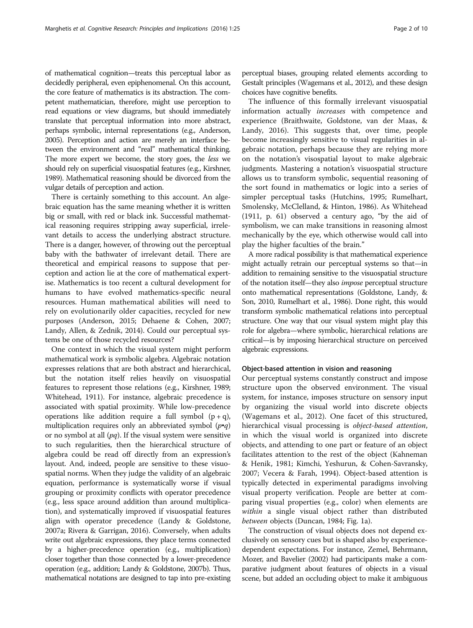of mathematical cognition—treats this perceptual labor as decidedly peripheral, even epiphenomenal. On this account, the core feature of mathematics is its abstraction. The competent mathematician, therefore, might use perception to read equations or view diagrams, but should immediately translate that perceptual information into more abstract, perhaps symbolic, internal representations (e.g., Anderson, [2005](#page-9-0)). Perception and action are merely an interface between the environment and "real" mathematical thinking. The more expert we become, the story goes, the *less* we should rely on superficial visuospatial features (e.g., Kirshner, [1989](#page-9-0)). Mathematical reasoning should be divorced from the vulgar details of perception and action.

There is certainly something to this account. An algebraic equation has the same meaning whether it is written big or small, with red or black ink. Successful mathematical reasoning requires stripping away superficial, irrelevant details to access the underlying abstract structure. There is a danger, however, of throwing out the perceptual baby with the bathwater of irrelevant detail. There are theoretical and empirical reasons to suppose that perception and action lie at the core of mathematical expertise. Mathematics is too recent a cultural development for humans to have evolved mathematics-specific neural resources. Human mathematical abilities will need to rely on evolutionarily older capacities, recycled for new purposes (Anderson, [2015;](#page-9-0) Dehaene & Cohen, [2007](#page-9-0); Landy, Allen, & Zednik, [2014\)](#page-9-0). Could our perceptual systems be one of those recycled resources?

One context in which the visual system might perform mathematical work is symbolic algebra. Algebraic notation expresses relations that are both abstract and hierarchical, but the notation itself relies heavily on visuospatial features to represent those relations (e.g., Kirshner, [1989](#page-9-0); Whitehead, [1911\)](#page-9-0). For instance, algebraic precedence is associated with spatial proximity. While low-precedence operations like addition require a full symbol  $(p+q)$ , multiplication requires only an abbreviated symbol  $(p \cdot q)$ or no symbol at all  $(pq)$ . If the visual system were sensitive to such regularities, then the hierarchical structure of algebra could be read off directly from an expression's layout. And, indeed, people are sensitive to these visuospatial norms. When they judge the validity of an algebraic equation, performance is systematically worse if visual grouping or proximity conflicts with operator precedence (e.g., less space around addition than around multiplication), and systematically improved if visuospatial features align with operator precedence (Landy & Goldstone, [2007a](#page-9-0); Rivera & Garrigan, [2016\)](#page-9-0). Conversely, when adults write out algebraic expressions, they place terms connected by a higher-precedence operation (e.g., multiplication) closer together than those connected by a lower-precedence operation (e.g., addition; Landy & Goldstone, [2007b](#page-9-0)). Thus, mathematical notations are designed to tap into pre-existing

perceptual biases, grouping related elements according to Gestalt principles (Wagemans et al., [2012\)](#page-9-0), and these design choices have cognitive benefits.

The influence of this formally irrelevant visuospatial information actually increases with competence and experience (Braithwaite, Goldstone, van der Maas, & Landy, [2016](#page-9-0)). This suggests that, over time, people become increasingly sensitive to visual regularities in algebraic notation, perhaps because they are relying more on the notation's visospatial layout to make algebraic judgments. Mastering a notation's visuospatial structure allows us to transform symbolic, sequential reasoning of the sort found in mathematics or logic into a series of simpler perceptual tasks (Hutchins, [1995](#page-9-0); Rumelhart, Smolensky, McClelland, & Hinton, [1986](#page-9-0)). As Whitehead ([1911,](#page-9-0) p. 61) observed a century ago, "by the aid of symbolism, we can make transitions in reasoning almost mechanically by the eye, which otherwise would call into play the higher faculties of the brain."

A more radical possibility is that mathematical experience might actually retrain our perceptual systems so that—in addition to remaining sensitive to the visuospatial structure of the notation itself—they also impose perceptual structure onto mathematical representations (Goldstone, Landy, & Son, [2010](#page-9-0), Rumelhart et al., [1986\)](#page-9-0). Done right, this would transform symbolic mathematical relations into perceptual structure. One way that our visual system might play this role for algebra—where symbolic, hierarchical relations are critical—is by imposing hierarchical structure on perceived algebraic expressions.

## Object-based attention in vision and reasoning

Our perceptual systems constantly construct and impose structure upon the observed environment. The visual system, for instance, imposes structure on sensory input by organizing the visual world into discrete objects (Wagemans et al., [2012\)](#page-9-0). One facet of this structured, hierarchical visual processing is object-based attention, in which the visual world is organized into discrete objects, and attending to one part or feature of an object facilitates attention to the rest of the object (Kahneman & Henik, [1981](#page-9-0); Kimchi, Yeshurun, & Cohen-Savransky, [2007](#page-9-0); Vecera & Farah, [1994](#page-9-0)). Object-based attention is typically detected in experimental paradigms involving visual property verification. People are better at comparing visual properties (e.g., color) when elements are within a single visual object rather than distributed between objects (Duncan, [1984;](#page-9-0) Fig. [1a\)](#page-2-0).

The construction of visual objects does not depend exclusively on sensory cues but is shaped also by experiencedependent expectations. For instance, Zemel, Behrmann, Mozer, and Bavelier [\(2002](#page-9-0)) had participants make a comparative judgment about features of objects in a visual scene, but added an occluding object to make it ambiguous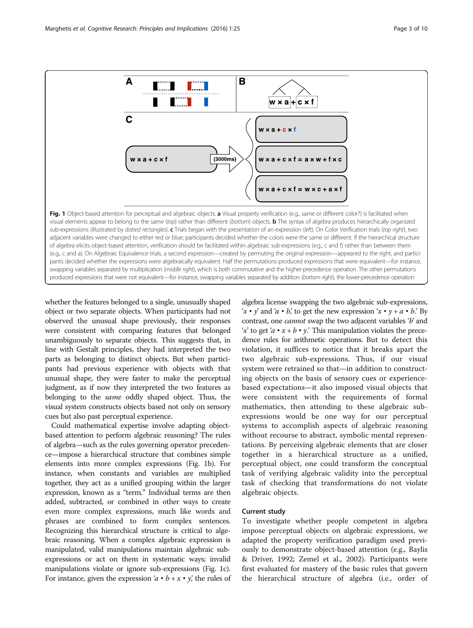<span id="page-2-0"></span>

whether the features belonged to a single, unusually shaped object or two separate objects. When participants had not observed the unusual shape previously, their responses were consistent with comparing features that belonged unambiguously to separate objects. This suggests that, in line with Gestalt principles, they had interpreted the two parts as belonging to distinct objects. But when participants had previous experience with objects with that unusual shape, they were faster to make the perceptual judgment, as if now they interpreted the two features as belonging to the same oddly shaped object. Thus, the visual system constructs objects based not only on sensory cues but also past perceptual experience.

Could mathematical expertise involve adapting objectbased attention to perform algebraic reasoning? The rules of algebra—such as the rules governing operator precedence—impose a hierarchical structure that combines simple elements into more complex expressions (Fig. 1b). For instance, when constants and variables are multiplied together, they act as a unified grouping within the larger expression, known as a "term." Individual terms are then added, subtracted, or combined in other ways to create even more complex expressions, much like words and phrases are combined to form complex sentences. Recognizing this hierarchical structure is critical to algebraic reasoning. When a complex algebraic expression is manipulated, valid manipulations maintain algebraic subexpressions or act on them in systematic ways; invalid manipulations violate or ignore sub-expressions (Fig. 1c). For instance, given the expression ' $a \cdot b + x \cdot y$ ', the rules of algebra license swapping the two algebraic sub-expressions, 'x • y' and 'a • b', to get the new expression 'x •  $y + a \cdot b$ '. By contrast, one *cannot* swap the two adjacent variables 'b' and 'x' to get 'a  $\cdot x + b \cdot y$ .' This manipulation violates the precedence rules for arithmetic operations. But to detect this violation, it suffices to notice that it breaks apart the two algebraic sub-expressions. Thus, if our visual system were retrained so that—in addition to constructing objects on the basis of sensory cues or experiencebased expectations—it also imposed visual objects that were consistent with the requirements of formal mathematics, then attending to these algebraic subexpressions would be one way for our perceptual systems to accomplish aspects of algebraic reasoning without recourse to abstract, symbolic mental representations. By perceiving algebraic elements that are closer together in a hierarchical structure as a unified, perceptual object, one could transform the conceptual task of verifying algebraic validity into the perceptual task of checking that transformations do not violate algebraic objects.

## Current study

To investigate whether people competent in algebra impose perceptual objects on algebraic expressions, we adapted the property verification paradigm used previously to demonstrate object-based attention (e.g., Baylis & Driver, [1992](#page-9-0); Zemel et al., [2002](#page-9-0)). Participants were first evaluated for mastery of the basic rules that govern the hierarchical structure of algebra (i.e., order of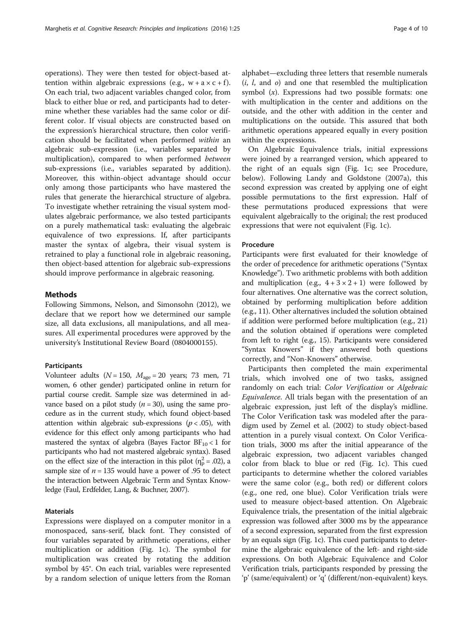operations). They were then tested for object-based attention within algebraic expressions (e.g.,  $w + a \times c + f$ ). On each trial, two adjacent variables changed color, from black to either blue or red, and participants had to determine whether these variables had the same color or different color. If visual objects are constructed based on the expression's hierarchical structure, then color verification should be facilitated when performed within an algebraic sub-expression (i.e., variables separated by multiplication), compared to when performed between sub-expressions (i.e., variables separated by addition). Moreover, this within-object advantage should occur only among those participants who have mastered the rules that generate the hierarchical structure of algebra. To investigate whether retraining the visual system modulates algebraic performance, we also tested participants on a purely mathematical task: evaluating the algebraic equivalence of two expressions. If, after participants master the syntax of algebra, their visual system is retrained to play a functional role in algebraic reasoning,

then object-based attention for algebraic sub-expressions should improve performance in algebraic reasoning.

## Methods

Following Simmons, Nelson, and Simonsohn ([2012](#page-9-0)), we declare that we report how we determined our sample size, all data exclusions, all manipulations, and all measures. All experimental procedures were approved by the university's Institutional Review Board (0804000155).

#### **Participants**

Volunteer adults ( $N = 150$ ,  $M_{\text{age}} = 20$  years; 73 men, 71 women, 6 other gender) participated online in return for partial course credit. Sample size was determined in advance based on a pilot study ( $n = 30$ ), using the same procedure as in the current study, which found object-based attention within algebraic sub-expressions  $(p < .05)$ , with evidence for this effect only among participants who had mastered the syntax of algebra (Bayes Factor  $BF_{10}$  < 1 for participants who had not mastered algebraic syntax). Based on the effect size of the interaction in this pilot ( $\eta_p^2$  = .02), a sample size of  $n = 135$  would have a power of .95 to detect the interaction between Algebraic Term and Syntax Knowledge (Faul, Erdfelder, Lang, & Buchner, [2007](#page-9-0)).

## Materials

Expressions were displayed on a computer monitor in a monospaced, sans-serif, black font. They consisted of four variables separated by arithmetic operations, either multiplication or addition (Fig. [1c](#page-2-0)). The symbol for multiplication was created by rotating the addition symbol by 45°. On each trial, variables were represented by a random selection of unique letters from the Roman

alphabet—excluding three letters that resemble numerals  $(i, l, \text{ and } o)$  and one that resembled the multiplication symbol  $(x)$ . Expressions had two possible formats: one with multiplication in the center and additions on the outside, and the other with addition in the center and multiplications on the outside. This assured that both arithmetic operations appeared equally in every position within the expressions.

On Algebraic Equivalence trials, initial expressions were joined by a rearranged version, which appeared to the right of an equals sign (Fig. [1c;](#page-2-0) see Procedure, below). Following Landy and Goldstone ([2007a\)](#page-9-0), this second expression was created by applying one of eight possible permutations to the first expression. Half of these permutations produced expressions that were equivalent algebraically to the original; the rest produced expressions that were not equivalent (Fig. [1c](#page-2-0)).

## Procedure

Participants were first evaluated for their knowledge of the order of precedence for arithmetic operations ("Syntax Knowledge"). Two arithmetic problems with both addition and multiplication (e.g.,  $4 + 3 \times 2 + 1$ ) were followed by four alternatives. One alternative was the correct solution, obtained by performing multiplication before addition (e.g., 11). Other alternatives included the solution obtained if addition were performed before multiplication (e.g., 21) and the solution obtained if operations were completed from left to right (e.g., 15). Participants were considered "Syntax Knowers" if they answered both questions correctly, and "Non-Knowers" otherwise.

Participants then completed the main experimental trials, which involved one of two tasks, assigned randomly on each trial: Color Verification or Algebraic Equivalence. All trials began with the presentation of an algebraic expression, just left of the display's midline. The Color Verification task was modeled after the paradigm used by Zemel et al. ([2002](#page-9-0)) to study object-based attention in a purely visual context. On Color Verification trials, 3000 ms after the initial appearance of the algebraic expression, two adjacent variables changed color from black to blue or red (Fig. [1c](#page-2-0)). This cued participants to determine whether the colored variables were the same color (e.g., both red) or different colors (e.g., one red, one blue). Color Verification trials were used to measure object-based attention. On Algebraic Equivalence trials, the presentation of the initial algebraic expression was followed after 3000 ms by the appearance of a second expression, separated from the first expression by an equals sign (Fig. [1c\)](#page-2-0). This cued participants to determine the algebraic equivalence of the left- and right-side expressions. On both Algebraic Equivalence and Color Verification trials, participants responded by pressing the 'p' (same/equivalent) or 'q' (different/non-equivalent) keys.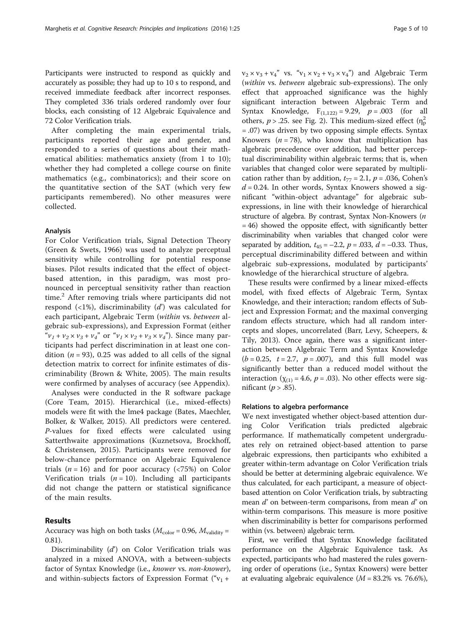Participants were instructed to respond as quickly and accurately as possible; they had up to 10 s to respond, and received immediate feedback after incorrect responses. They completed 336 trials ordered randomly over four blocks, each consisting of 12 Algebraic Equivalence and 72 Color Verification trials.

After completing the main experimental trials, participants reported their age and gender, and responded to a series of questions about their mathematical abilities: mathematics anxiety (from 1 to 10); whether they had completed a college course on finite mathematics (e.g., combinatorics); and their score on the quantitative section of the SAT (which very few participants remembered). No other measures were collected.

## Analysis

For Color Verification trials, Signal Detection Theory (Green & Swets, [1966\)](#page-9-0) was used to analyze perceptual sensitivity while controlling for potential response biases. Pilot results indicated that the effect of objectbased attention, in this paradigm, was most pronounced in perceptual sensitivity rather than reaction time.<sup>2</sup> After removing trials where participants did not respond  $(\langle 1\% \rangle)$ , discriminability  $(d')$  was calculated for each participant, Algebraic Term (within vs. between algebraic sub-expressions), and Expression Format (either " $v_1 + v_2 \times v_3 + v_4$ " or " $v_1 \times v_2 + v_3 \times v_4$ "). Since many participants had perfect discrimination in at least one condition ( $n = 93$ ), 0.25 was added to all cells of the signal detection matrix to correct for infinite estimates of discriminability (Brown & White, [2005\)](#page-9-0). The main results were confirmed by analyses of accuracy (see Appendix).

Analyses were conducted in the R software package (Core Team, [2015\)](#page-9-0). Hierarchical (i.e., mixed-effects) models were fit with the lme4 package (Bates, Maechler, Bolker, & Walker, [2015](#page-9-0)). All predictors were centered. P-values for fixed effects were calculated using Satterthwaite approximations (Kuznetsova, Brockhoff, & Christensen, [2015](#page-9-0)). Participants were removed for below-chance performance on Algebraic Equivalence trials ( $n = 16$ ) and for poor accuracy (<75%) on Color Verification trials  $(n = 10)$ . Including all participants did not change the pattern or statistical significance of the main results.

## Results

Accuracy was high on both tasks ( $M_{\text{color}} = 0.96$ ,  $M_{\text{validity}} =$ 0.81).

Discriminability  $(d')$  on Color Verification trials was analyzed in a mixed ANOVA, with a between-subjects factor of Syntax Knowledge (i.e., knower vs. non-knower), and within-subjects factors of Expression Format  $("v<sub>1</sub> +$ 

 $v_2 \times v_3 + v_4$ " vs. " $v_1 \times v_2 + v_3 \times v_4$ " and Algebraic Term (within vs. between algebraic sub-expressions). The only effect that approached significance was the highly significant interaction between Algebraic Term and Syntax Knowledge,  $F_{(1,122)} = 9.29$ ,  $p = .003$  (for all others,  $p > .25$ . see Fig. [2](#page-5-0)). This medium-sized effect ( $\eta_{\rm p}^2$ = .07) was driven by two opposing simple effects. Syntax Knowers ( $n = 78$ ), who know that multiplication has algebraic precedence over addition, had better perceptual discriminability within algebraic terms; that is, when variables that changed color were separated by multiplication rather than by addition,  $t_{77} = 2.1$ ,  $p = .036$ , Cohen's  $d = 0.24$ . In other words, Syntax Knowers showed a significant "within-object advantage" for algebraic subexpressions, in line with their knowledge of hierarchical structure of algebra. By contrast, Syntax Non-Knowers (n = 46) showed the opposite effect, with significantly better discriminability when variables that changed color were separated by addition,  $t_{45} = -2.2$ ,  $p = .033$ ,  $d = -0.33$ . Thus, perceptual discriminability differed between and within algebraic sub-expressions, modulated by participants' knowledge of the hierarchical structure of algebra.

These results were confirmed by a linear mixed-effects model, with fixed effects of Algebraic Term, Syntax Knowledge, and their interaction; random effects of Subject and Expression Format; and the maximal converging random effects structure, which had all random intercepts and slopes, uncorrelated (Barr, Levy, Scheepers, & Tily, [2013\)](#page-9-0). Once again, there was a significant interaction between Algebraic Term and Syntax Knowledge  $(b = 0.25, t = 2.7, p = .007)$ , and this full model was significantly better than a reduced model without the interaction ( $\chi_{(1)} = 4.6$ ,  $p = .03$ ). No other effects were significant ( $p > .85$ ).

## Relations to algebra performance

We next investigated whether object-based attention during Color Verification trials predicted algebraic performance. If mathematically competent undergraduates rely on retrained object-based attention to parse algebraic expressions, then participants who exhibited a greater within-term advantage on Color Verification trials should be better at determining algebraic equivalence. We thus calculated, for each participant, a measure of objectbased attention on Color Verification trials, by subtracting mean  $d'$  on between-term comparisons, from mean  $d'$  on within-term comparisons. This measure is more positive when discriminability is better for comparisons performed within (vs. between) algebraic term.

First, we verified that Syntax Knowledge facilitated performance on the Algebraic Equivalence task. As expected, participants who had mastered the rules governing order of operations (i.e., Syntax Knowers) were better at evaluating algebraic equivalence  $(M = 83.2\% \text{ vs. } 76.6\%),$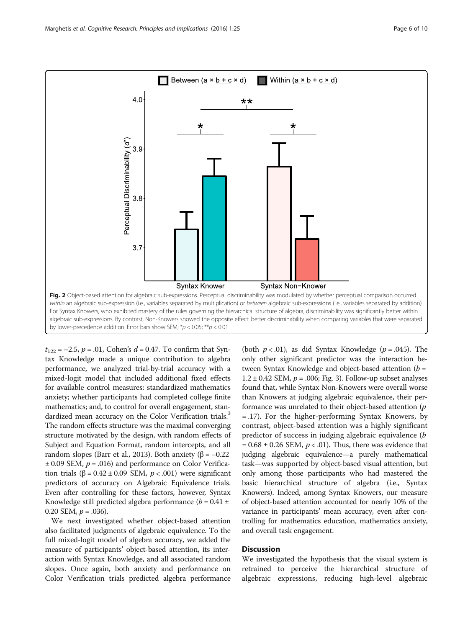<span id="page-5-0"></span>

 $t_{122} = -2.5$ ,  $p = .01$ , Cohen's  $d = 0.47$ . To confirm that Syntax Knowledge made a unique contribution to algebra performance, we analyzed trial-by-trial accuracy with a mixed-logit model that included additional fixed effects for available control measures: standardized mathematics anxiety; whether participants had completed college finite mathematics; and, to control for overall engagement, standardized mean accuracy on the Color Verification trials.<sup>3</sup> The random effects structure was the maximal converging structure motivated by the design, with random effects of Subject and Equation Format, random intercepts, and all random slopes (Barr et al., [2013](#page-9-0)). Both anxiety (β = -0.22  $\pm$  0.09 SEM,  $p = .016$ ) and performance on Color Verification trials (β =  $0.42 \pm 0.09$  SEM, *p* < .001) were significant predictors of accuracy on Algebraic Equivalence trials. Even after controlling for these factors, however, Syntax Knowledge still predicted algebra performance ( $b = 0.41 \pm 1$ 0.20 SEM,  $p = .036$ ).

We next investigated whether object-based attention also facilitated judgments of algebraic equivalence. To the full mixed-logit model of algebra accuracy, we added the measure of participants' object-based attention, its interaction with Syntax Knowledge, and all associated random slopes. Once again, both anxiety and performance on Color Verification trials predicted algebra performance

(both  $p < .01$ ), as did Syntax Knowledge ( $p = .045$ ). The only other significant predictor was the interaction between Syntax Knowledge and object-based attention  $(b =$  $1.2 \pm 0.42$  SEM,  $p = .006$ ; Fig. [3](#page-6-0)). Follow-up subset analyses found that, while Syntax Non-Knowers were overall worse than Knowers at judging algebraic equivalence, their performance was unrelated to their object-based attention  $(p)$ = .17). For the higher-performing Syntax Knowers, by contrast, object-based attention was a highly significant predictor of success in judging algebraic equivalence (b  $= 0.68 \pm 0.26$  SEM,  $p < .01$ ). Thus, there was evidence that judging algebraic equivalence—a purely mathematical task—was supported by object-based visual attention, but only among those participants who had mastered the basic hierarchical structure of algebra (i.e., Syntax Knowers). Indeed, among Syntax Knowers, our measure of object-based attention accounted for nearly 10% of the variance in participants' mean accuracy, even after controlling for mathematics education, mathematics anxiety, and overall task engagement.

## **Discussion**

We investigated the hypothesis that the visual system is retrained to perceive the hierarchical structure of algebraic expressions, reducing high-level algebraic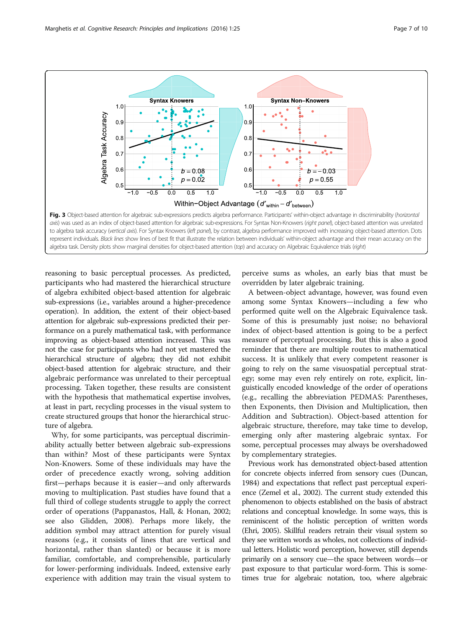<span id="page-6-0"></span>

reasoning to basic perceptual processes. As predicted, participants who had mastered the hierarchical structure of algebra exhibited object-based attention for algebraic sub-expressions (i.e., variables around a higher-precedence operation). In addition, the extent of their object-based attention for algebraic sub-expressions predicted their performance on a purely mathematical task, with performance improving as object-based attention increased. This was not the case for participants who had not yet mastered the hierarchical structure of algebra; they did not exhibit object-based attention for algebraic structure, and their algebraic performance was unrelated to their perceptual processing. Taken together, these results are consistent with the hypothesis that mathematical expertise involves, at least in part, recycling processes in the visual system to create structured groups that honor the hierarchical structure of algebra.

Why, for some participants, was perceptual discriminability actually better between algebraic sub-expressions than within? Most of these participants were Syntax Non-Knowers. Some of these individuals may have the order of precedence exactly wrong, solving addition first—perhaps because it is easier—and only afterwards moving to multiplication. Past studies have found that a full third of college students struggle to apply the correct order of operations (Pappanastos, Hall, & Honan, [2002](#page-9-0); see also Glidden, [2008](#page-9-0)). Perhaps more likely, the addition symbol may attract attention for purely visual reasons (e.g., it consists of lines that are vertical and horizontal, rather than slanted) or because it is more familiar, comfortable, and comprehensible, particularly for lower-performing individuals. Indeed, extensive early experience with addition may train the visual system to

perceive sums as wholes, an early bias that must be overridden by later algebraic training.

A between-object advantage, however, was found even among some Syntax Knowers—including a few who performed quite well on the Algebraic Equivalence task. Some of this is presumably just noise; no behavioral index of object-based attention is going to be a perfect measure of perceptual processing. But this is also a good reminder that there are multiple routes to mathematical success. It is unlikely that every competent reasoner is going to rely on the same visuospatial perceptual strategy; some may even rely entirely on rote, explicit, linguistically encoded knowledge of the order of operations (e.g., recalling the abbreviation PEDMAS: Parentheses, then Exponents, then Division and Multiplication, then Addition and Subtraction). Object-based attention for algebraic structure, therefore, may take time to develop, emerging only after mastering algebraic syntax. For some, perceptual processes may always be overshadowed by complementary strategies.

Previous work has demonstrated object-based attention for concrete objects inferred from sensory cues (Duncan, [1984\)](#page-9-0) and expectations that reflect past perceptual experience (Zemel et al., [2002\)](#page-9-0). The current study extended this phenomenon to objects established on the basis of abstract relations and conceptual knowledge. In some ways, this is reminiscent of the holistic perception of written words (Ehri, [2005\)](#page-9-0). Skillful readers retrain their visual system so they see written words as wholes, not collections of individual letters. Holistic word perception, however, still depends primarily on a sensory cue—the space between words—or past exposure to that particular word-form. This is sometimes true for algebraic notation, too, where algebraic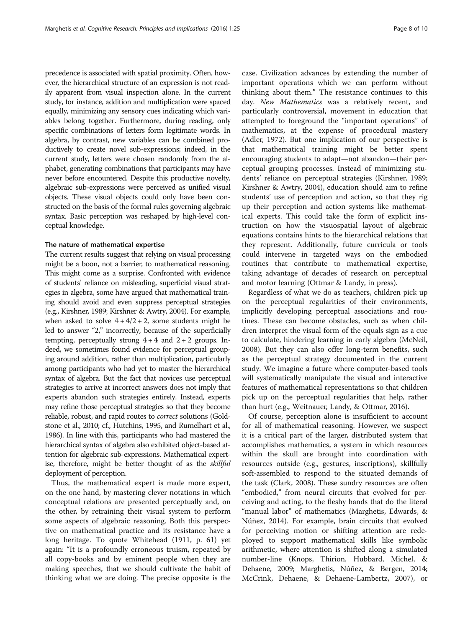precedence is associated with spatial proximity. Often, however, the hierarchical structure of an expression is not readily apparent from visual inspection alone. In the current study, for instance, addition and multiplication were spaced equally, minimizing any sensory cues indicating which variables belong together. Furthermore, during reading, only specific combinations of letters form legitimate words. In algebra, by contrast, new variables can be combined productively to create novel sub-expressions; indeed, in the current study, letters were chosen randomly from the alphabet, generating combinations that participants may have never before encountered. Despite this productive novelty, algebraic sub-expressions were perceived as unified visual objects. These visual objects could only have been constructed on the basis of the formal rules governing algebraic syntax. Basic perception was reshaped by high-level conceptual knowledge.

## The nature of mathematical expertise

The current results suggest that relying on visual processing might be a boon, not a barrier, to mathematical reasoning. This might come as a surprise. Confronted with evidence of students' reliance on misleading, superficial visual strategies in algebra, some have argued that mathematical training should avoid and even suppress perceptual strategies (e.g., Kirshner, [1989;](#page-9-0) Kirshner & Awtry, [2004](#page-9-0)). For example, when asked to solve  $4 + 4/2 + 2$ , some students might be led to answer "2," incorrectly, because of the superficially tempting, perceptually strong  $4 + 4$  and  $2 + 2$  groups. Indeed, we sometimes found evidence for perceptual grouping around addition, rather than multiplication, particularly among participants who had yet to master the hierarchical syntax of algebra. But the fact that novices use perceptual strategies to arrive at incorrect answers does not imply that experts abandon such strategies entirely. Instead, experts may refine those perceptual strategies so that they become reliable, robust, and rapid routes to correct solutions (Goldstone et al., [2010](#page-9-0); cf., Hutchins, [1995,](#page-9-0) and Rumelhart et al., [1986\)](#page-9-0). In line with this, participants who had mastered the hierarchical syntax of algebra also exhibited object-based attention for algebraic sub-expressions. Mathematical expertise, therefore, might be better thought of as the skillful deployment of perception.

Thus, the mathematical expert is made more expert, on the one hand, by mastering clever notations in which conceptual relations are presented perceptually and, on the other, by retraining their visual system to perform some aspects of algebraic reasoning. Both this perspective on mathematical practice and its resistance have a long heritage. To quote Whitehead ([1911](#page-9-0), p. 61) yet again: "It is a profoundly erroneous truism, repeated by all copy-books and by eminent people when they are making speeches, that we should cultivate the habit of thinking what we are doing. The precise opposite is the

case. Civilization advances by extending the number of important operations which we can perform without thinking about them." The resistance continues to this day. New Mathematics was a relatively recent, and particularly controversial, movement in education that attempted to foreground the "important operations" of mathematics, at the expense of procedural mastery (Adler, [1972\)](#page-9-0). But one implication of our perspective is that mathematical training might be better spent encouraging students to adapt—not abandon—their perceptual grouping processes. Instead of minimizing students' reliance on perceptual strategies (Kirshner, [1989](#page-9-0); Kirshner & Awtry, [2004\)](#page-9-0), education should aim to refine students' use of perception and action, so that they rig up their perception and action systems like mathematical experts. This could take the form of explicit instruction on how the visuospatial layout of algebraic equations contains hints to the hierarchical relations that they represent. Additionally, future curricula or tools could intervene in targeted ways on the embodied routines that contribute to mathematical expertise, taking advantage of decades of research on perceptual and motor learning (Ottmar & Landy, [in press](#page-9-0)).

Regardless of what we do as teachers, children pick up on the perceptual regularities of their environments, implicitly developing perceptual associations and routines. These can become obstacles, such as when children interpret the visual form of the equals sign as a cue to calculate, hindering learning in early algebra (McNeil, [2008](#page-9-0)). But they can also offer long-term benefits, such as the perceptual strategy documented in the current study. We imagine a future where computer-based tools will systematically manipulate the visual and interactive features of mathematical representations so that children pick up on the perceptual regularities that help, rather than hurt (e.g., Weitnauer, Landy, & Ottmar, [2016](#page-9-0)).

Of course, perception alone is insufficient to account for all of mathematical reasoning. However, we suspect it is a critical part of the larger, distributed system that accomplishes mathematics, a system in which resources within the skull are brought into coordination with resources outside (e.g., gestures, inscriptions), skillfully soft-assembled to respond to the situated demands of the task (Clark, [2008\)](#page-9-0). These sundry resources are often "embodied," from neural circuits that evolved for perceiving and acting, to the fleshy hands that do the literal "manual labor" of mathematics ([Marghetis, Edwards, &](#page-9-0) [Núñez, 2014](#page-9-0)). For example, brain circuits that evolved for perceiving motion or shifting attention are redeployed to support mathematical skills like symbolic arithmetic, where attention is shifted along a simulated number-line (Knops, Thirion, Hubbard, Michel, & Dehaene, [2009](#page-9-0); [Marghetis, Núñez, & Bergen, 2014](#page-9-0); McCrink, Dehaene, & Dehaene-Lambertz, [2007](#page-9-0)), or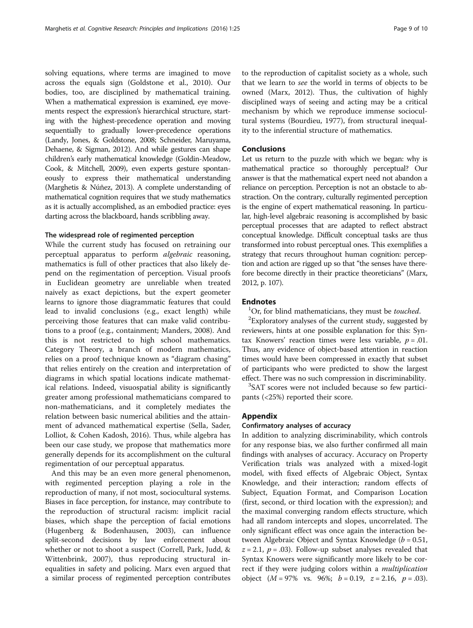solving equations, where terms are imagined to move across the equals sign (Goldstone et al., [2010\)](#page-9-0). Our bodies, too, are disciplined by mathematical training. When a mathematical expression is examined, eye movements respect the expression's hierarchical structure, starting with the highest-precedence operation and moving sequentially to gradually lower-precedence operations (Landy, Jones, & Goldstone, [2008;](#page-9-0) Schneider, Maruyama, Dehaene, & Sigman, [2012](#page-9-0)). And while gestures can shape children's early mathematical knowledge (Goldin-Meadow, Cook, & Mitchell, [2009\)](#page-9-0), even experts gesture spontaneously to express their mathematical understanding (Marghetis & Núñez, [2013](#page-9-0)). A complete understanding of mathematical cognition requires that we study mathematics as it is actually accomplished, as an embodied practice: eyes darting across the blackboard, hands scribbling away.

## The widespread role of regimented perception

While the current study has focused on retraining our perceptual apparatus to perform algebraic reasoning, mathematics is full of other practices that also likely depend on the regimentation of perception. Visual proofs in Euclidean geometry are unreliable when treated naively as exact depictions, but the expert geometer learns to ignore those diagrammatic features that could lead to invalid conclusions (e.g., exact length) while perceiving those features that can make valid contributions to a proof (e.g., containment; Manders, [2008](#page-9-0)). And this is not restricted to high school mathematics. Category Theory, a branch of modern mathematics, relies on a proof technique known as "diagram chasing" that relies entirely on the creation and interpretation of diagrams in which spatial locations indicate mathematical relations. Indeed, visuospatial ability is significantly greater among professional mathematicians compared to non-mathematicians, and it completely mediates the relation between basic numerical abilities and the attainment of advanced mathematical expertise (Sella, Sader, Lolliot, & Cohen Kadosh, [2016\)](#page-9-0). Thus, while algebra has been our case study, we propose that mathematics more generally depends for its accomplishment on the cultural regimentation of our perceptual apparatus.

And this may be an even more general phenomenon, with regimented perception playing a role in the reproduction of many, if not most, sociocultural systems. Biases in face perception, for instance, may contribute to the reproduction of structural racism: implicit racial biases, which shape the perception of facial emotions (Hugenberg & Bodenhausen, [2003\)](#page-9-0), can influence split-second decisions by law enforcement about whether or not to shoot a suspect (Correll, Park, Judd, & Wittenbrink, [2007\)](#page-9-0), thus reproducing structural inequalities in safety and policing. Marx even argued that a similar process of regimented perception contributes to the reproduction of capitalist society as a whole, such that we learn to see the world in terms of objects to be owned (Marx, [2012\)](#page-9-0). Thus, the cultivation of highly disciplined ways of seeing and acting may be a critical mechanism by which we reproduce immense sociocultural systems (Bourdieu, [1977](#page-9-0)), from structural inequality to the inferential structure of mathematics.

## Conclusions

Let us return to the puzzle with which we began: why is mathematical practice so thoroughly perceptual? Our answer is that the mathematical expert need not abandon a reliance on perception. Perception is not an obstacle to abstraction. On the contrary, culturally regimented perception is the engine of expert mathematical reasoning. In particular, high-level algebraic reasoning is accomplished by basic perceptual processes that are adapted to reflect abstract conceptual knowledge. Difficult conceptual tasks are thus transformed into robust perceptual ones. This exemplifies a strategy that recurs throughout human cognition: perception and action are rigged up so that "the senses have therefore become directly in their practice theoreticians" (Marx, [2012,](#page-9-0) p. 107).

## **Endnotes**

 ${}^{1}$ Or, for blind mathematicians, they must be *touched*.

<sup>2</sup>Exploratory analyses of the current study, suggested by reviewers, hints at one possible explanation for this: Syntax Knowers' reaction times were less variable,  $p = .01$ . Thus, any evidence of object-based attention in reaction times would have been compressed in exactly that subset of participants who were predicted to show the largest effect. There was no such compression in discriminability.

<sup>3</sup>SAT scores were not included because so few participants (<25%) reported their score.

#### Appendix

#### Confirmatory analyses of accuracy

In addition to analyzing discriminability, which controls for any response bias, we also further confirmed all main findings with analyses of accuracy. Accuracy on Property Verification trials was analyzed with a mixed-logit model, with fixed effects of Algebraic Object, Syntax Knowledge, and their interaction; random effects of Subject, Equation Format, and Comparison Location (first, second, or third location with the expression); and the maximal converging random effects structure, which had all random intercepts and slopes, uncorrelated. The only significant effect was once again the interaction between Algebraic Object and Syntax Knowledge ( $b = 0.51$ ,  $z = 2.1$ ,  $p = .03$ ). Follow-up subset analyses revealed that Syntax Knowers were significantly more likely to be correct if they were judging colors within a *multiplication* object  $(M = 97\%$  vs. 96%;  $b = 0.19$ ,  $z = 2.16$ ,  $p = .03$ ).